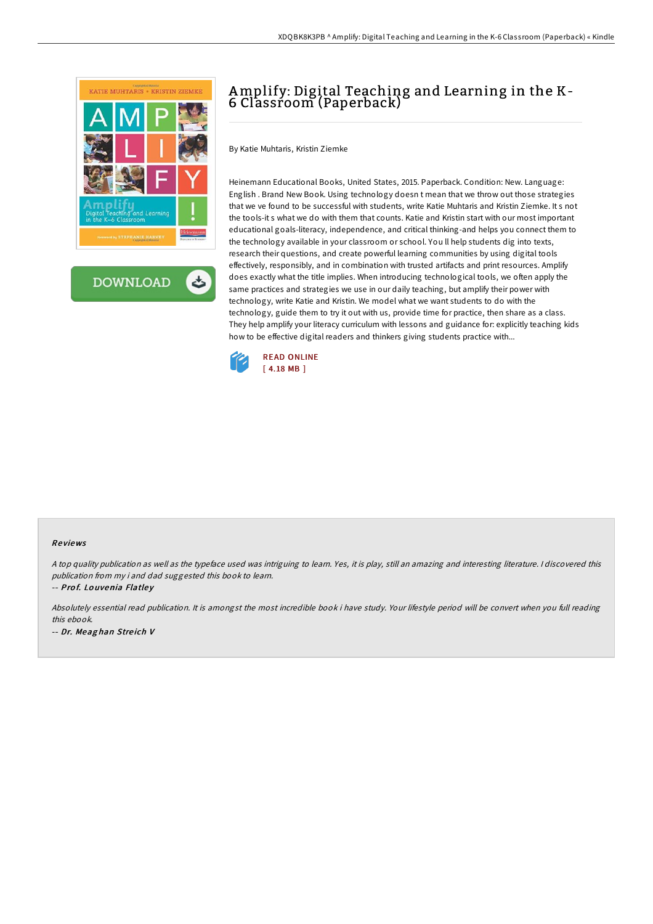

**DOWNLOAD** ٹ

## Amplify: Digital Teaching and Learning in the K-6 Classroom (Paperback)

By Katie Muhtaris, Kristin Ziemke

Heinemann Educational Books, United States, 2015. Paperback. Condition: New. Language: English . Brand New Book. Using technology doesn t mean that we throw out those strategies that we ve found to be successful with students, write Katie Muhtaris and Kristin Ziemke. It s not the tools-it s what we do with them that counts. Katie and Kristin start with our most important educational goals-literacy, independence, and critical thinking-and helps you connect them to the technology available in your classroom or school. You ll help students dig into texts, research their questions, and create powerful learning communities by using digital tools effectively, responsibly, and in combination with trusted artifacts and print resources. Amplify does exactly what the title implies. When introducing technological tools, we often apply the same practices and strategies we use in our daily teaching, but amplify their power with technology, write Katie and Kristin. We model what we want students to do with the technology, guide them to try it out with us, provide time for practice, then share as a class. They help amplify your literacy curriculum with lessons and guidance for: explicitly teaching kids how to be effective digital readers and thinkers giving students practice with...



## Re views

<sup>A</sup> top quality publication as well as the typeface used was intriguing to learn. Yes, it is play, still an amazing and interesting literature. <sup>I</sup> discovered this publication from my i and dad suggested this book to learn.

-- Prof. Louvenia Flatley

Absolutely essential read publication. It is amongst the most incredible book i have study. Your lifestyle period will be convert when you full reading this ebook. -- Dr. Meag han Stre ich V